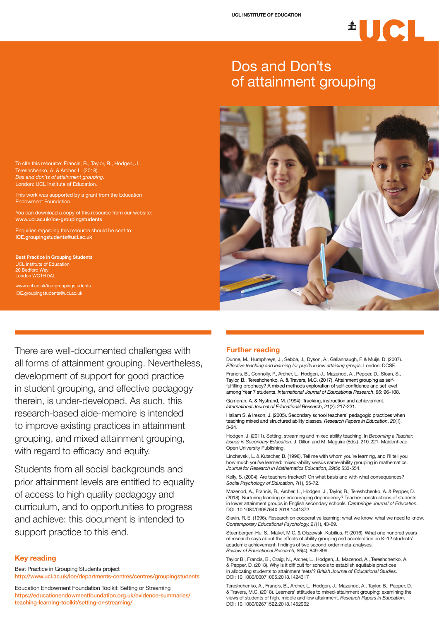There are well-documented challenges with all forms of attainment grouping. Nevertheless, development of support for good practice in student grouping, and effective pedagogy therein, is under-developed. As such, this research-based aide-memoire is intended to improve existing practices in attainment grouping, and mixed attainment grouping, with regard to efficacy and equity.

Students from all social backgrounds and

prior attainment levels are entitled to equality of access to high quality pedagogy and curriculum, and to opportunities to progress and achieve: this document is intended to support practice to this end.

#### **Key reading**

Best Practice in Grouping Students project http://www.ucl.ac.uk/ioe/departments-centres/centres/groupingstudents

Education Endowment Foundation Toolkit: Setting or Streaming https://educationendowmentfoundation.org.uk/evidence-summaries/ teaching-learning-toolkit/setting-or-streaming/

# <sup>A</sup>UCL

### Dos and Don'ts of attainment grouping



To cite this resource: Francis, B., Taylor, B., Hodgen, J., Tereshchenko, A. & Archer, L. (2018). *Dos and don'ts of attainment grouping*. London: UCL Institute of Education.

This work was supported by a grant from the Education Endowment Foundation

You can download a copy of this resource from our website: www.ucl.ac.uk/ioe-groupingstudents

Enquiries regarding this resource should be sent to: IOE.groupingstudents@ucl.ac.uk

**Best Practice in Grouping Students** UCL Institute of Education 20 Bedford Way London WC1H 0AL

www.ucl.ac.uk/ioe-groupingstudents IOE.groupingstudents@ucl.ac.uk

#### **Further reading**

Dunne, M., Humphreys, J., Sebba, J., Dyson, A., Gallannaugh, F. & Muijs, D. (2007). *Effective teaching and learning for pupils in low attaining groups*. London: DCSF.

Francis, B., Connolly, P., Archer, L., Hodgen, J., Mazenod, A., Pepper, D., Sloan, S., Taylor, B., Tereshchenko, A. & Travers, M.C. (2017). Attainment grouping as selffulfilling prophecy? A mixed methods exploration of self-confidence and set level among Year 7 students. *International Journal of Educational Research*, *86*: 96-108.

Gamoran, A. & Nystrand, M. (1994). Tracking, instruction and achievement. *International Journal of Educational Research*, *21*(2): 217-231.

Hallam S. & Ireson, J. (2005). Secondary school teachers' pedagogic practices when teaching mixed and structured ability classes*. Research Papers in Education*, *20*(1), 3-24.

Hodgen, J. (2011). Setting, streaming and mixed ability teaching. In *Becoming a Teacher: Issues in Secondary Education*. J. Dillon and M. Maguire (Eds.), 210-221. Maidenhead: Open University Publishing.

Linchevski, L. & Kutscher, B. (1998). Tell me with whom you're learning, and I'll tell you how much you've learned: mixed-ability versus same-ability grouping in mathematics. *Journal for Research in Mathematics Education*, *29*(5): 533-554.

Kelly, S. (2004). Are teachers tracked? On what basis and with what consequences? *Social Psychology of Education*, *7*(1), 55-72.

Mazenod, A., Francis, B., Archer, L., Hodgen, J., Taylor, B., Tereshchenko, A. & Pepper, D. (2018). Nurturing learning or encouraging dependency? Teacher constructions of students in lower attainment groups in English secondary schools. *Cambridge Journal of Education*. DOI: 10.1080/0305764X.2018.1441372

Slavin, R. E. (1996). Research on cooperative learning: what we know, what we need to know. *Contemporary Educational Psychology, 21*(1), 43-69.

Steenbergen-Hu, S., Makel, M.C. & Olszewski-Kubilius, P. (2016). What one hundred years of research says about the effects of ability grouping and acceleration on K–12 students' academic achievement: findings of two second-order meta-analyses. *Review of Educational Research, 86*(4), 849-899.

Taylor B., Francis, B., Craig, N., Archer, L., Hodgen, J., Mazenod, A., Tereshchenko, A. & Pepper, D. (2018). Why is it difficult for schools to establish equitable practices in allocating students to attainment 'sets'? *British Journal of Educational Studies*. DOI: 10.1080/00071005.2018.1424317

Tereshchenko, A., Francis, B., Archer, L., Hodgen, J., Mazenod, A., Taylor, B., Pepper, D. & Travers, M.C. (2018). Learners' attitudes to mixed-attainment grouping: examining the views of students of high, middle and low attainment. *Research Papers in Education*. DOI: 10.1080/02671522.2018.1452962